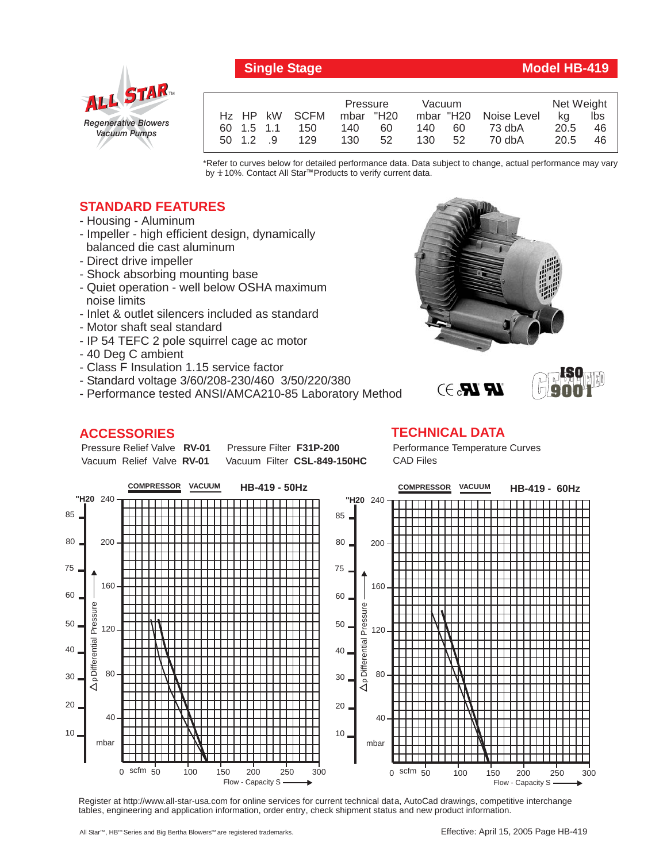

## **Single Stage Model HB-419**

|               |               | Pressure  |    | Vacuum |    |                       | Net Weight |     |
|---------------|---------------|-----------|----|--------|----|-----------------------|------------|-----|
|               | Hz HP kW SCFM | mbar "H20 |    |        |    | mbar "H20 Noise Level | ka         | lbs |
| 60 1.5 1.1    | 150           | 140       | 60 | 140    | 60 | 73 dbA                | 20.5       | 46  |
| $50 \t12 \t9$ | 129           | 130       | 52 | 130    | 52 | 70 dbA                | 20.5       | 46  |

\*Refer to curves below for detailed performance data. Data subject to change, actual performance may vary by **+** 10%. Contact All Star™Products to verify current data.

## **STANDARD FEATURES**

- Housing Aluminum
- Impeller high efficient design, dynamically balanced die cast aluminum
- Direct drive impeller
- Shock absorbing mounting base
- Quiet operation well below OSHA maximum noise limits
- Inlet & outlet silencers included as standard
- Motor shaft seal standard
- IP 54 TEFC 2 pole squirrel cage ac motor
- 40 Deg C ambient
- Class F Insulation 1.15 service factor
- Standard voltage 3/60/208-230/460 3/50/220/380
- Performance tested ANSI/AMCA210-85 Laboratory Method

## **ACCESSORIES**

Pressure Relief Valve RV-01

Vacuum Relief Valve RV-01 **Pressure Filter F31P-200** Vacuum Filter CSL-849-150HC





## **TECHNICAL DATA**

Performance Temperature Curves CAD Files

 $\mathbb{R}$   $\mathbb{R}$ . $\ni$ 



Register at http://www.all-star-usa.com for online services for current technical data, AutoCad drawings, competitive interchange tables, engineering and application information, order entry, check shipment status and new product information.